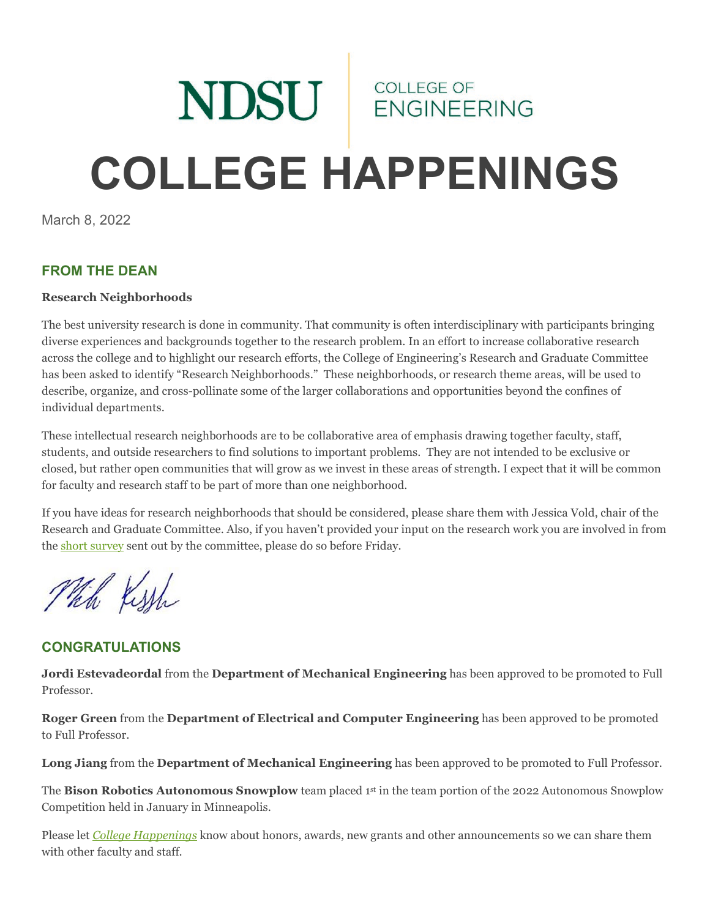# NDSU ENGINEERING **COLLEGE HAPPENINGS**

March 8, 2022

# **FROM THE DEAN**

### **Research Neighborhoods**

The best university research is done in community. That community is often interdisciplinary with participants bringing diverse experiences and backgrounds together to the research problem. In an effort to increase collaborative research across the college and to highlight our research efforts, the College of Engineering's Research and Graduate Committee has been asked to identify "Research Neighborhoods." These neighborhoods, or research theme areas, will be used to describe, organize, and cross-pollinate some of the larger collaborations and opportunities beyond the confines of individual departments.

These intellectual research neighborhoods are to be collaborative area of emphasis drawing together faculty, staff, students, and outside researchers to find solutions to important problems. They are not intended to be exclusive or closed, but rather open communities that will grow as we invest in these areas of strength. I expect that it will be common for faculty and research staff to be part of more than one neighborhood.

If you have ideas for research neighborhoods that should be considered, please share them with Jessica Vold, chair of the Research and Graduate Committee. Also, if you haven't provided your input on the research work you are involved in from th[e short survey](https://ndstate.co1.qualtrics.com/jfe/form/SV_8vvt06Qlbw1vhzg) sent out by the committee, please do so before Friday.

Which Kissh

# **CONGRATULATIONS**

**Jordi Estevadeordal** from the **Department of Mechanical Engineering** has been approved to be promoted to Full Professor.

**Roger Green** from the **Department of Electrical and Computer Engineering** has been approved to be promoted to Full Professor.

**Long Jiang** from the **Department of Mechanical Engineering** has been approved to be promoted to Full Professor.

The **Bison Robotics Autonomous Snowplow** team placed 1<sup>st</sup> in the team portion of the 2022 Autonomous Snowplow Competition held in January in Minneapolis.

Please let *[College Happenings](mailto:kyle.bosch@ndsu.edu)* know about honors, awards, new grants and other announcements so we can share them with other faculty and staff.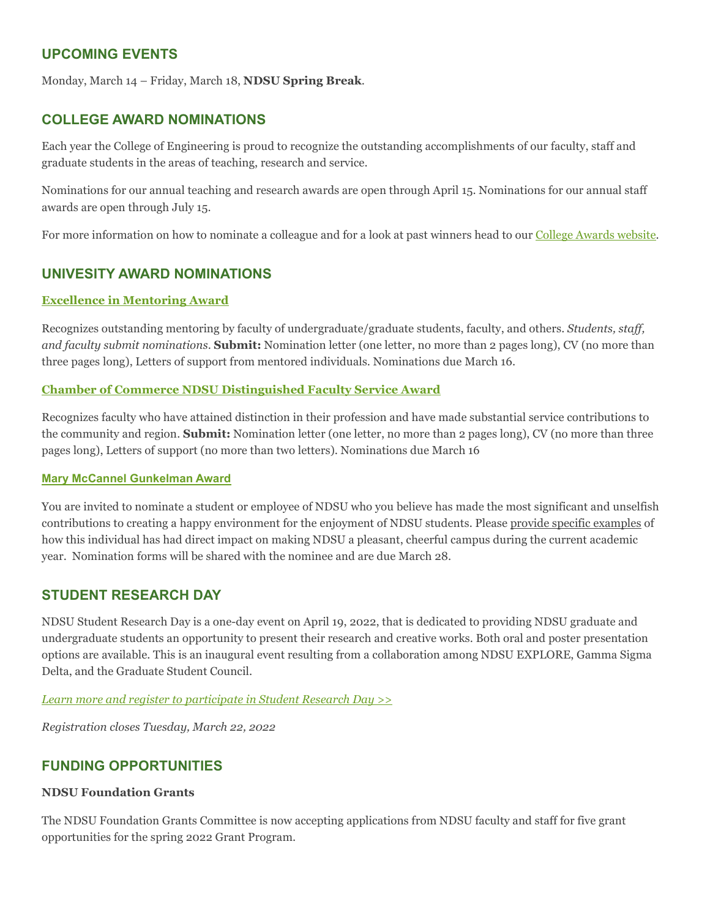## **UPCOMING EVENTS**

Monday, March 14 – Friday, March 18, **NDSU Spring Break**.

## **COLLEGE AWARD NOMINATIONS**

Each year the College of Engineering is proud to recognize the outstanding accomplishments of our faculty, staff and graduate students in the areas of teaching, research and service.

Nominations for our annual teaching and research awards are open through April 15. Nominations for our annual staff awards are open through July 15.

For more information on how to nominate a colleague and for a look at past winners head to our [College Awards website.](https://www.ndsu.edu/coe/faculty_staff/college_awards/)

## **UNIVESITY AWARD NOMINATIONS**

#### **Excellence in [Mentoring Award](https://www.ndsu.edu/facultyaffairs/awards/mentoring/)**

Recognizes outstanding mentoring by faculty of undergraduate/graduate students, faculty, and others. *Students, staff, and faculty submit nominations*. **Submit:** Nomination letter (one letter, no more than 2 pages long), CV (no more than three pages long), Letters of support from mentored individuals. Nominations due March 16.

#### **[Chamber of Commerce NDSU Distinguished Faculty](https://www.ndsu.edu/facultyaffairs/awards/chamber_distinguished_service/) Service Award**

Recognizes faculty who have attained distinction in their profession and have made substantial service contributions to the community and region. **Submit:** Nomination letter (one letter, no more than 2 pages long), CV (no more than three pages long), Letters of support (no more than two letters). Nominations due March 16

#### **Mary McCannel [Gunkelman](https://www.ndsu.edu/staff_senate/committees/gunkelman_award/) Award**

You are invited to nominate a student or employee of NDSU who you believe has made the most significant and unselfish contributions to creating a happy environment for the enjoyment of NDSU students. Please provide specific examples of how this individual has had direct impact on making NDSU a pleasant, cheerful campus during the current academic year. Nomination forms will be shared with the nominee and are due March 28.

## **STUDENT RESEARCH DAY**

NDSU Student Research Day is a one-day event on April 19, 2022, that is dedicated to providing NDSU graduate and undergraduate students an opportunity to present their research and creative works. Both oral and poster presentation options are available. This is an inaugural event resulting from a collaboration among NDSU EXPLORE, Gamma Sigma Delta, and the Graduate Student Council.

*[Learn more and register to participate in Student Research Day >>](https://www.ndsu.edu/research/rca_events/student_research_day/)*

*Registration closes Tuesday, March 22, 2022*

## **FUNDING OPPORTUNITIES**

#### **NDSU Foundation Grants**

The NDSU Foundation Grants Committee is now accepting applications from NDSU faculty and staff for five grant opportunities for the spring 2022 Grant Program.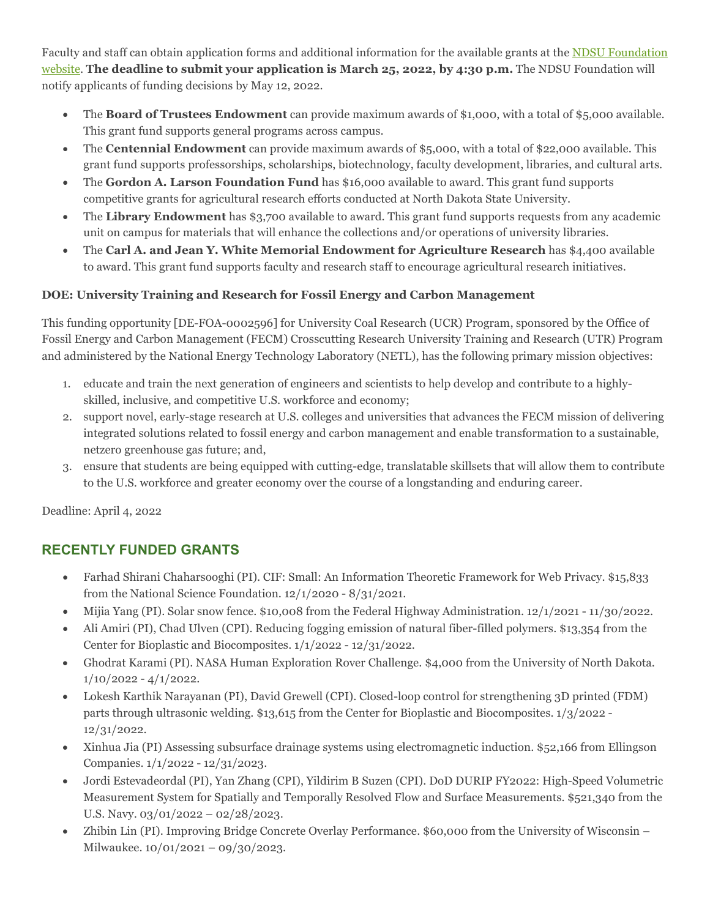Faculty and staff can obtain application forms and additional information for the available grants at th[e NDSU Foundation](https://www.ndsufoundation.com/grant-applications)  [website.](https://www.ndsufoundation.com/grant-applications) **The deadline to submit your application is March 25, 2022, by 4:30 p.m.** The NDSU Foundation will notify applicants of funding decisions by May 12, 2022.

- The **Board of Trustees Endowment** can provide maximum awards of \$1,000, with a total of \$5,000 available. This grant fund supports general programs across campus.
- The **Centennial Endowment** can provide maximum awards of \$5,000, with a total of \$22,000 available. This grant fund supports professorships, scholarships, biotechnology, faculty development, libraries, and cultural arts.
- The **Gordon A. Larson Foundation Fund** has \$16,000 available to award. This grant fund supports competitive grants for agricultural research efforts conducted at North Dakota State University.
- The **Library Endowment** has \$3,700 available to award. This grant fund supports requests from any academic unit on campus for materials that will enhance the collections and/or operations of university libraries.
- The **Carl A. and Jean Y. White Memorial Endowment for Agriculture Research** has \$4,400 available to award. This grant fund supports faculty and research staff to encourage agricultural research initiatives.

## **DOE: University Training and Research for Fossil Energy and Carbon Management**

This funding opportunity [DE-FOA-0002596] for University Coal Research (UCR) Program, sponsored by the Office of Fossil Energy and Carbon Management (FECM) Crosscutting Research University Training and Research (UTR) Program and administered by the National Energy Technology Laboratory (NETL), has the following primary mission objectives:

- 1. educate and train the next generation of engineers and scientists to help develop and contribute to a highlyskilled, inclusive, and competitive U.S. workforce and economy;
- 2. support novel, early-stage research at U.S. colleges and universities that advances the FECM mission of delivering integrated solutions related to fossil energy and carbon management and enable transformation to a sustainable, netzero greenhouse gas future; and,
- 3. ensure that students are being equipped with cutting-edge, translatable skillsets that will allow them to contribute to the U.S. workforce and greater economy over the course of a longstanding and enduring career.

Deadline: April 4, 2022

# **RECENTLY FUNDED GRANTS**

- Farhad Shirani Chaharsooghi (PI). CIF: Small: An Information Theoretic Framework for Web Privacy. \$15,833 from the National Science Foundation. 12/1/2020 - 8/31/2021.
- Mijia Yang (PI). Solar snow fence. \$10,008 from the Federal Highway Administration. 12/1/2021 11/30/2022.
- Ali Amiri (PI), Chad Ulven (CPI). Reducing fogging emission of natural fiber-filled polymers. \$13,354 from the Center for Bioplastic and Biocomposites. 1/1/2022 - 12/31/2022.
- Ghodrat Karami (PI). NASA Human Exploration Rover Challenge. \$4,000 from the University of North Dakota.  $1/10/2022 - 4/1/2022$ .
- Lokesh Karthik Narayanan (PI), David Grewell (CPI). Closed-loop control for strengthening 3D printed (FDM) parts through ultrasonic welding. \$13,615 from the Center for Bioplastic and Biocomposites. 1/3/2022 - 12/31/2022.
- Xinhua Jia (PI) Assessing subsurface drainage systems using electromagnetic induction. \$52,166 from Ellingson Companies. 1/1/2022 - 12/31/2023.
- Jordi Estevadeordal (PI), Yan Zhang (CPI), Yildirim B Suzen (CPI). DoD DURIP FY2022: High-Speed Volumetric Measurement System for Spatially and Temporally Resolved Flow and Surface Measurements. \$521,340 from the U.S. Navy. 03/01/2022 – 02/28/2023.
- Zhibin Lin (PI). Improving Bridge Concrete Overlay Performance. \$60,000 from the University of Wisconsin Milwaukee. 10/01/2021 – 09/30/2023.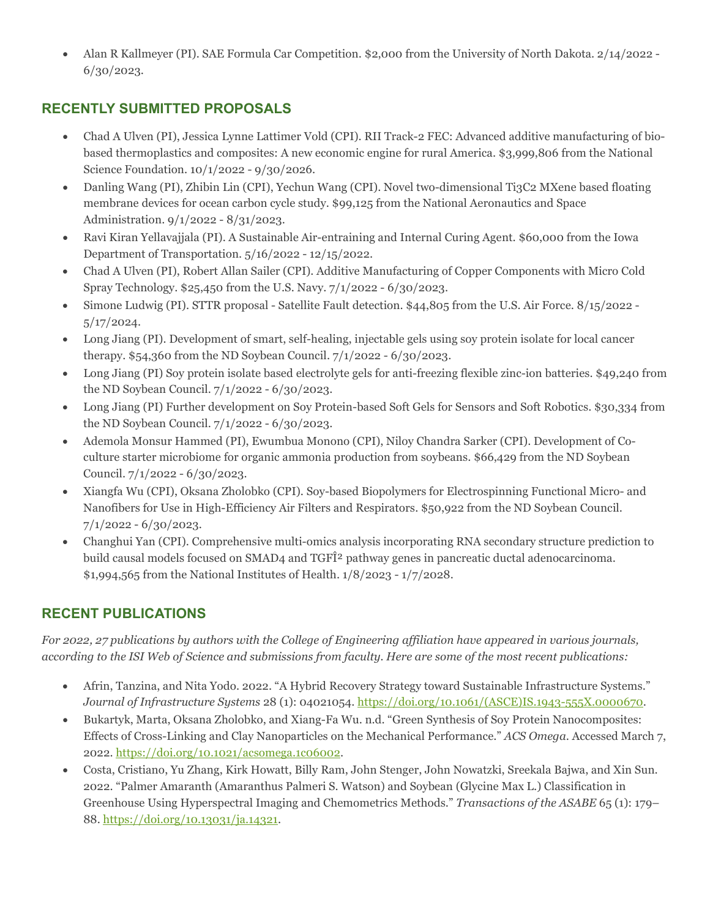• Alan R Kallmeyer (PI). SAE Formula Car Competition. \$2,000 from the University of North Dakota. 2/14/2022 -6/30/2023.

# **RECENTLY SUBMITTED PROPOSALS**

- Chad A Ulven (PI), Jessica Lynne Lattimer Vold (CPI). RII Track-2 FEC: Advanced additive manufacturing of biobased thermoplastics and composites: A new economic engine for rural America. \$3,999,806 from the National Science Foundation. 10/1/2022 - 9/30/2026.
- Danling Wang (PI), Zhibin Lin (CPI), Yechun Wang (CPI). Novel two-dimensional Ti3C2 MXene based floating membrane devices for ocean carbon cycle study. \$99,125 from the National Aeronautics and Space Administration. 9/1/2022 - 8/31/2023.
- Ravi Kiran Yellavajjala (PI). A Sustainable Air-entraining and Internal Curing Agent. \$60,000 from the Iowa Department of Transportation. 5/16/2022 - 12/15/2022.
- Chad A Ulven (PI), Robert Allan Sailer (CPI). Additive Manufacturing of Copper Components with Micro Cold Spray Technology. \$25,450 from the U.S. Navy. 7/1/2022 - 6/30/2023.
- Simone Ludwig (PI). STTR proposal Satellite Fault detection. \$44,805 from the U.S. Air Force. 8/15/2022 5/17/2024.
- Long Jiang (PI). Development of smart, self-healing, injectable gels using soy protein isolate for local cancer therapy. \$54,360 from the ND Soybean Council. 7/1/2022 - 6/30/2023.
- Long Jiang (PI) Soy protein isolate based electrolyte gels for anti-freezing flexible zinc-ion batteries. \$49,240 from the ND Soybean Council. 7/1/2022 - 6/30/2023.
- Long Jiang (PI) Further development on Soy Protein-based Soft Gels for Sensors and Soft Robotics. \$30,334 from the ND Soybean Council. 7/1/2022 - 6/30/2023.
- Ademola Monsur Hammed (PI), Ewumbua Monono (CPI), Niloy Chandra Sarker (CPI). Development of Coculture starter microbiome for organic ammonia production from soybeans. \$66,429 from the ND Soybean Council. 7/1/2022 - 6/30/2023.
- Xiangfa Wu (CPI), Oksana Zholobko (CPI). Soy-based Biopolymers for Electrospinning Functional Micro- and Nanofibers for Use in High-Efficiency Air Filters and Respirators. \$50,922 from the ND Soybean Council.  $7/1/2022 - 6/30/2023$ .
- Changhui Yan (CPI). Comprehensive multi-omics analysis incorporating RNA secondary structure prediction to build causal models focused on SMAD4 and TGFÎ<sup>2</sup> pathway genes in pancreatic ductal adenocarcinoma. \$1,994,565 from the National Institutes of Health. 1/8/2023 - 1/7/2028.

# **RECENT PUBLICATIONS**

*For 2022, 27 publications by authors with the College of Engineering affiliation have appeared in various journals, according to the ISI Web of Science and submissions from faculty. Here are some of the most recent publications:*

- Afrin, Tanzina, and Nita Yodo. 2022. "A Hybrid Recovery Strategy toward Sustainable Infrastructure Systems." *Journal of Infrastructure Systems* 28 (1): 04021054. [https://doi.org/10.1061/\(ASCE\)IS.1943-555X.0000670.](https://doi.org/10.1061/(ASCE)IS.1943-555X.0000670)
- Bukartyk, Marta, Oksana Zholobko, and Xiang-Fa Wu. n.d. "Green Synthesis of Soy Protein Nanocomposites: Effects of Cross-Linking and Clay Nanoparticles on the Mechanical Performance." *ACS Omega*. Accessed March 7, 2022. [https://doi.org/10.1021/acsomega.1c06002.](https://doi.org/10.1021/acsomega.1c06002)
- Costa, Cristiano, Yu Zhang, Kirk Howatt, Billy Ram, John Stenger, John Nowatzki, Sreekala Bajwa, and Xin Sun. 2022. "Palmer Amaranth (Amaranthus Palmeri S. Watson) and Soybean (Glycine Max L.) Classification in Greenhouse Using Hyperspectral Imaging and Chemometrics Methods." *Transactions of the ASABE* 65 (1): 179– 88. [https://doi.org/10.13031/ja.14321.](https://doi.org/10.13031/ja.14321)